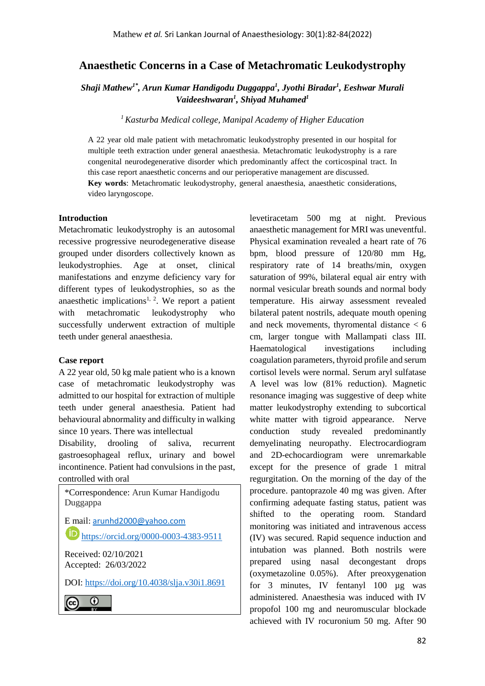# **Anaesthetic Concerns in a Case of Metachromatic Leukodystrophy**

*Shaji Mathew1\*, Arun Kumar Handigodu Duggappa<sup>1</sup> , Jyothi Biradar<sup>1</sup> , Eeshwar Murali Vaideeshwaran<sup>1</sup> , Shiyad Muhamed<sup>1</sup>*

*<sup>1</sup>Kasturba Medical college, Manipal Academy of Higher Education*

A 22 year old male patient with metachromatic leukodystrophy presented in our hospital for multiple teeth extraction under general anaesthesia. Metachromatic leukodystrophy is a rare congenital neurodegenerative disorder which predominantly affect the corticospinal tract. In this case report anaesthetic concerns and our perioperative management are discussed.

**Key words**: Metachromatic leukodystrophy, general anaesthesia, anaesthetic considerations, video laryngoscope.

#### **Introduction**

Metachromatic leukodystrophy is an autosomal recessive progressive neurodegenerative disease grouped under disorders collectively known as leukodystrophies. Age at onset, clinical manifestations and enzyme deficiency vary for different types of leukodystrophies, so as the anaesthetic implications<sup>1, 2</sup>. We report a patient with metachromatic leukodystrophy who successfully underwent extraction of multiple teeth under general anaesthesia.

#### **Case report**

A 22 year old, 50 kg male patient who is a known case of metachromatic leukodystrophy was admitted to our hospital for extraction of multiple teeth under general anaesthesia. Patient had behavioural abnormality and difficulty in walking since 10 years. There was intellectual

Disability, drooling of saliva, recurrent gastroesophageal reflux, urinary and bowel incontinence. Patient had convulsions in the past, controlled with oral

\*Correspondence: Arun Kumar Handigodu Duggappa E mail: [arunhd2000@yahoo.com](mailto:arunhd2000@yahoo.com) <https://orcid.org/0000-0003-4383-9511> Received: 02/10/2021 Accepted: 26/03/2022 DOI:<https://doi.org/10.4038/slja.v30i1.8691> $\odot$ 

levetiracetam 500 mg at night. Previous anaesthetic management for MRI was uneventful. Physical examination revealed a heart rate of 76 bpm, blood pressure of 120/80 mm Hg, respiratory rate of 14 breaths/min, oxygen saturation of 99%, bilateral equal air entry with normal vesicular breath sounds and normal body temperature. His airway assessment revealed bilateral patent nostrils, adequate mouth opening and neck movements, thyromental distance < 6 cm, larger tongue with Mallampati class III. Haematological investigations including coagulation parameters, thyroid profile and serum cortisol levels were normal. Serum aryl sulfatase A level was low (81% reduction). Magnetic resonance imaging was suggestive of deep white matter leukodystrophy extending to subcortical white matter with tigroid appearance. Nerve conduction study revealed predominantly demyelinating neuropathy. Electrocardiogram and 2D-echocardiogram were unremarkable except for the presence of grade 1 mitral regurgitation. On the morning of the day of the procedure. pantoprazole 40 mg was given. After confirming adequate fasting status, patient was shifted to the operating room. Standard monitoring was initiated and intravenous access (IV) was secured. Rapid sequence induction and intubation was planned. Both nostrils were prepared using nasal decongestant drops (oxymetazoline 0.05%). After preoxygenation for 3 minutes, IV fentanyl 100 µg was administered. Anaesthesia was induced with IV propofol 100 mg and neuromuscular blockade achieved with IV rocuronium 50 mg. After 90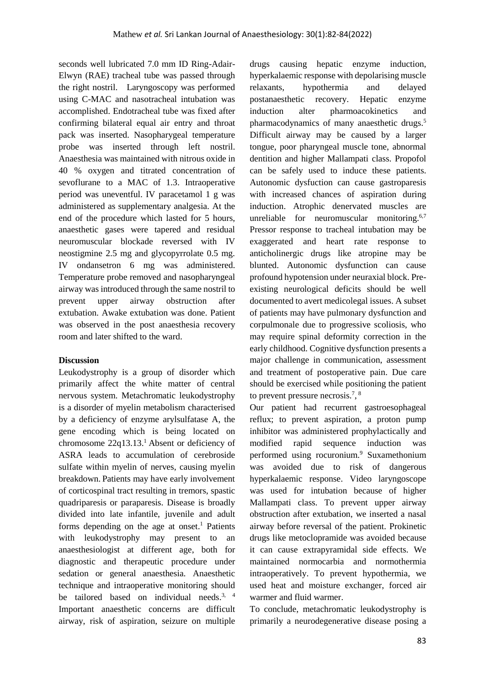seconds well lubricated 7.0 mm ID Ring-Adair-Elwyn (RAE) tracheal tube was passed through the right nostril. Laryngoscopy was performed using C-MAC and nasotracheal intubation was accomplished. Endotracheal tube was fixed after confirming bilateral equal air entry and throat pack was inserted. Nasopharygeal temperature probe was inserted through left nostril. Anaesthesia was maintained with nitrous oxide in 40 % oxygen and titrated concentration of sevoflurane to a MAC of 1.3. Intraoperative period was uneventful. IV paracetamol 1 g was administered as supplementary analgesia. At the end of the procedure which lasted for 5 hours, anaesthetic gases were tapered and residual neuromuscular blockade reversed with IV neostigmine 2.5 mg and glycopyrrolate 0.5 mg. IV ondansetron 6 mg was administered. Temperature probe removed and nasopharyngeal airway was introduced through the same nostril to prevent upper airway obstruction after extubation. Awake extubation was done. Patient was observed in the post anaesthesia recovery room and later shifted to the ward.

### **Discussion**

Leukodystrophy is a group of disorder which primarily affect the white matter of central nervous system. Metachromatic leukodystrophy is a disorder of myelin metabolism characterised by a deficiency of enzyme arylsulfatase A, the gene encoding which is being located on chromosome 22q13.13.<sup>1</sup> Absent or deficiency of ASRA leads to accumulation of cerebroside sulfate within myelin of nerves, causing myelin breakdown. Patients may have early involvement of corticospinal tract resulting in tremors, spastic quadriparesis or paraparesis. Disease is broadly divided into late infantile, juvenile and adult forms depending on the age at onset. <sup>1</sup> Patients with leukodystrophy may present to an anaesthesiologist at different age, both for diagnostic and therapeutic procedure under sedation or general anaesthesia. Anaesthetic technique and intraoperative monitoring should be tailored based on individual needs.<sup>3, 4</sup> Important anaesthetic concerns are difficult airway, risk of aspiration, seizure on multiple drugs causing hepatic enzyme induction, hyperkalaemic response with depolarising muscle relaxants, hypothermia and delayed postanaesthetic recovery. Hepatic enzyme induction alter pharmoacokinetics and pharmacodynamics of many anaesthetic drugs. 5 Difficult airway may be caused by a larger tongue, poor pharyngeal muscle tone, abnormal dentition and higher Mallampati class. Propofol can be safely used to induce these patients. Autonomic dysfuction can cause gastroparesis with increased chances of aspiration during induction. Atrophic denervated muscles are unreliable for neuromuscular monitoring.<sup>6,7</sup> Pressor response to tracheal intubation may be exaggerated and heart rate response to anticholinergic drugs like atropine may be blunted. Autonomic dysfunction can cause profound hypotension under neuraxial block. Preexisting neurological deficits should be well documented to avert medicolegal issues. A subset of patients may have pulmonary dysfunction and corpulmonale due to progressive scoliosis, who may require spinal deformity correction in the early childhood. Cognitive dysfunction presents a major challenge in communication, assessment and treatment of postoperative pain. Due care should be exercised while positioning the patient to prevent pressure necrosis.<sup>7</sup>, <sup>8</sup>

Our patient had recurrent gastroesophageal reflux; to prevent aspiration, a proton pump inhibitor was administered prophylactically and modified rapid sequence induction was performed using rocuronium. <sup>9</sup> Suxamethonium was avoided due to risk of dangerous hyperkalaemic response. Video laryngoscope was used for intubation because of higher Mallampati class. To prevent upper airway obstruction after extubation, we inserted a nasal airway before reversal of the patient. Prokinetic drugs like metoclopramide was avoided because it can cause extrapyramidal side effects. We maintained normocarbia and normothermia intraoperatively. To prevent hypothermia, we used heat and moisture exchanger, forced air warmer and fluid warmer.

To conclude, metachromatic leukodystrophy is primarily a neurodegenerative disease posing a